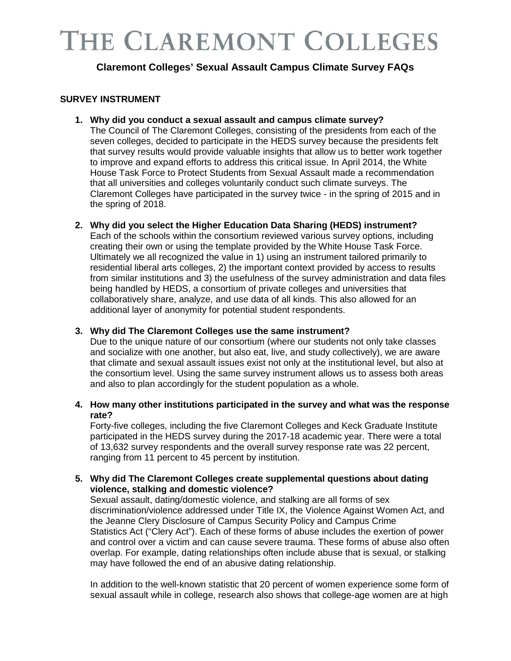## **Claremont Colleges' Sexual Assault Campus Climate Survey FAQs**

### **SURVEY INSTRUMENT**

**1. Why did you conduct a sexual assault and campus climate survey?**

The Council of The Claremont Colleges, consisting of the presidents from each of the seven colleges, decided to participate in the HEDS survey because the presidents felt that survey results would provide valuable insights that allow us to better work together to improve and expand efforts to address this critical issue. In April 2014, the White House Task Force to Protect Students from Sexual Assault made a recommendation that all universities and colleges voluntarily conduct such climate surveys. The Claremont Colleges have participated in the survey twice - in the spring of 2015 and in the spring of 2018.

**2. Why did you select the Higher Education Data Sharing (HEDS) instrument?** 

Each of the schools within the consortium reviewed various survey options, including creating their own or using the template provided by the White House Task Force. Ultimately we all recognized the value in 1) using an instrument tailored primarily to residential liberal arts colleges, 2) the important context provided by access to results from similar institutions and 3) the usefulness of the survey administration and data files being handled by HEDS, a consortium of [private colleges and universities](http://www.hedsconsortium.org/members/) that collaboratively share, analyze, and use data of all kinds. This also allowed for an additional layer of anonymity for potential student respondents.

### **3. Why did The Claremont Colleges use the same instrument?**

Due to the unique nature of our consortium (where our students not only take classes and socialize with one another, but also eat, live, and study collectively), we are aware that climate and sexual assault issues exist not only at the institutional level, but also at the consortium level. Using the same survey instrument allows us to assess both areas and also to plan accordingly for the student population as a whole.

### **4. How many other institutions participated in the survey and what was the response rate?**

Forty-five colleges, including the five Claremont Colleges and Keck Graduate Institute participated in the HEDS survey during the 2017-18 academic year. There were a total of 13,632 survey respondents and the overall survey response rate was 22 percent, ranging from 11 percent to 45 percent by institution.

#### **5. Why did The Claremont Colleges create supplemental questions about dating violence, stalking and domestic violence?**

Sexual assault, dating/domestic violence, and stalking are all forms of sex discrimination/violence addressed under Title IX, the Violence Against Women Act, and the Jeanne Clery Disclosure of Campus Security Policy and Campus Crime Statistics Act ("Clery Act"). Each of these forms of abuse includes the exertion of power and control over a victim and can cause severe trauma. These forms of abuse also often overlap. For example, dating relationships often include abuse that is sexual, or stalking may have followed the end of an abusive dating relationship.

In addition to the well-known statistic that 20 percent of women experience some form of sexual assault while in college, research also shows that college-age women are at high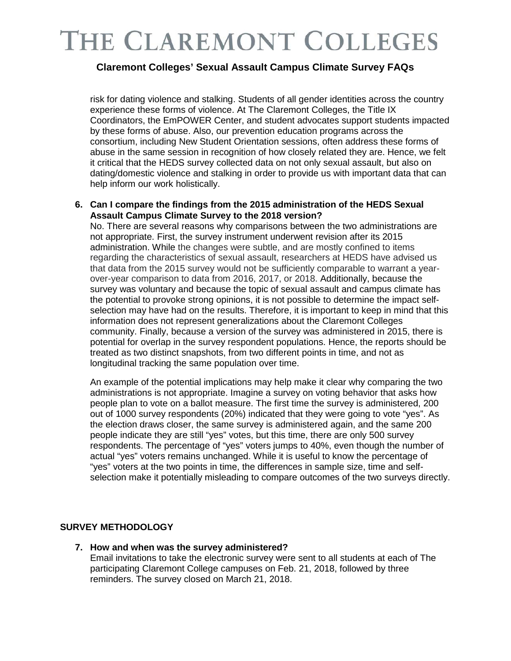### **Claremont Colleges' Sexual Assault Campus Climate Survey FAQs**

risk for dating violence and stalking. Students of all gender identities across the country experience these forms of violence. At The Claremont Colleges, the Title IX Coordinators, the EmPOWER Center, and student advocates support students impacted by these forms of abuse. Also, our prevention education programs across the consortium, including New Student Orientation sessions, often address these forms of abuse in the same session in recognition of how closely related they are. Hence, we felt it critical that the HEDS survey collected data on not only sexual assault, but also on dating/domestic violence and stalking in order to provide us with important data that can help inform our work holistically.

### **6. Can I compare the findings from the 2015 administration of the HEDS Sexual Assault Campus Climate Survey to the 2018 version?**

No. There are several reasons why comparisons between the two administrations are not appropriate. First, the survey instrument underwent revision after its 2015 administration. While the changes were subtle, and are mostly confined to items regarding the characteristics of sexual assault, researchers at HEDS have advised us that data from the 2015 survey would not be sufficiently comparable to warrant a yearover-year comparison to data from 2016, 2017, or 2018. Additionally, because the survey was voluntary and because the topic of sexual assault and campus climate has the potential to provoke strong opinions, it is not possible to determine the impact selfselection may have had on the results. Therefore, it is important to keep in mind that this information does not represent generalizations about the Claremont Colleges community. Finally, because a version of the survey was administered in 2015, there is potential for overlap in the survey respondent populations. Hence, the reports should be treated as two distinct snapshots, from two different points in time, and not as longitudinal tracking the same population over time.

An example of the potential implications may help make it clear why comparing the two administrations is not appropriate. Imagine a survey on voting behavior that asks how people plan to vote on a ballot measure. The first time the survey is administered, 200 out of 1000 survey respondents (20%) indicated that they were going to vote "yes". As the election draws closer, the same survey is administered again, and the same 200 people indicate they are still "yes" votes, but this time, there are only 500 survey respondents. The percentage of "yes" voters jumps to 40%, even though the number of actual "yes" voters remains unchanged. While it is useful to know the percentage of "yes" voters at the two points in time, the differences in sample size, time and selfselection make it potentially misleading to compare outcomes of the two surveys directly.

### **SURVEY METHODOLOGY**

**7. How and when was the survey administered?** 

Email invitations to take the electronic survey were sent to all students at each of The participating Claremont College campuses on Feb. 21, 2018, followed by three reminders. The survey closed on March 21, 2018.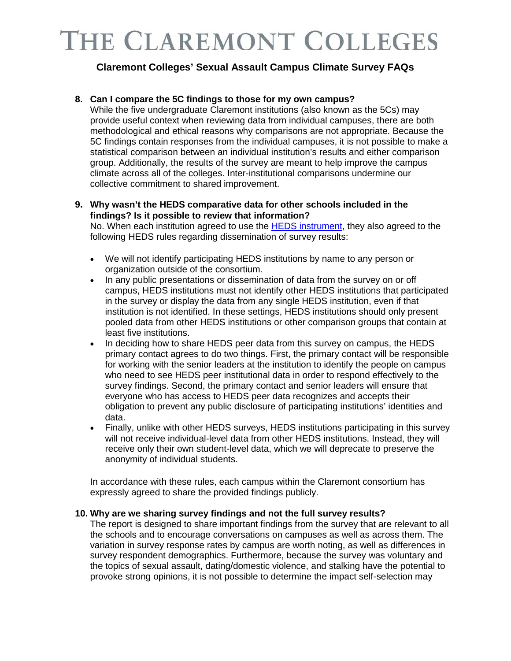## **Claremont Colleges' Sexual Assault Campus Climate Survey FAQs**

### **8. Can I compare the 5C findings to those for my own campus?**

While the five undergraduate Claremont institutions (also known as the 5Cs) may provide useful context when reviewing data from individual campuses, there are both methodological and ethical reasons why comparisons are not appropriate. Because the 5C findings contain responses from the individual campuses, it is not possible to make a statistical comparison between an individual institution's results and either comparison group. Additionally, the results of the survey are meant to help improve the campus climate across all of the colleges. Inter-institutional comparisons undermine our collective commitment to shared improvement.

### **9. Why wasn't the HEDS comparative data for other schools included in the findings? Is it possible to review that information?**

No. When each institution agreed to use the [HEDS instrument,](http://www.hedsconsortium.org/sexual-assault-survey/) they also agreed to the following HEDS rules regarding dissemination of survey results:

- We will not identify participating HEDS institutions by name to any person or organization outside of the consortium.
- In any public presentations or dissemination of data from the survey on or off campus, HEDS institutions must not identify other HEDS institutions that participated in the survey or display the data from any single HEDS institution, even if that institution is not identified. In these settings, HEDS institutions should only present pooled data from other HEDS institutions or other comparison groups that contain at least five institutions.
- In deciding how to share HEDS peer data from this survey on campus, the HEDS primary contact agrees to do two things. First, the primary contact will be responsible for working with the senior leaders at the institution to identify the people on campus who need to see HEDS peer institutional data in order to respond effectively to the survey findings. Second, the primary contact and senior leaders will ensure that everyone who has access to HEDS peer data recognizes and accepts their obligation to prevent any public disclosure of participating institutions' identities and data.
- Finally, unlike with other HEDS surveys, HEDS institutions participating in this survey will not receive individual-level data from other HEDS institutions. Instead, they will receive only their own student-level data, which we will deprecate to preserve the anonymity of individual students.

In accordance with these rules, each campus within the Claremont consortium has expressly agreed to share the provided findings publicly.

### **10. Why are we sharing survey findings and not the full survey results?**

The report is designed to share important findings from the survey that are relevant to all the schools and to encourage conversations on campuses as well as across them. The variation in survey response rates by campus are worth noting, as well as differences in survey respondent demographics. Furthermore, because the survey was voluntary and the topics of sexual assault, dating/domestic violence, and stalking have the potential to provoke strong opinions, it is not possible to determine the impact self-selection may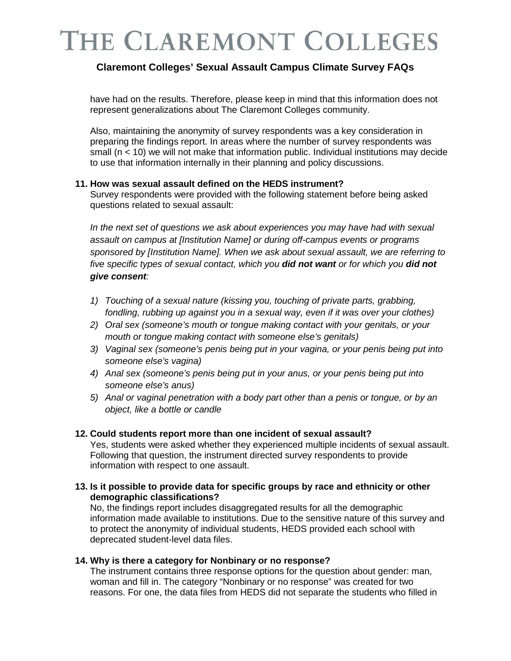## **Claremont Colleges' Sexual Assault Campus Climate Survey FAQs**

have had on the results. Therefore, please keep in mind that this information does not represent generalizations about The Claremont Colleges community.

Also, maintaining the anonymity of survey respondents was a key consideration in preparing the findings report. In areas where the number of survey respondents was small (n < 10) we will not make that information public. Individual institutions may decide to use that information internally in their planning and policy discussions.

#### **11. How was sexual assault defined on the HEDS instrument?**

Survey respondents were provided with the following statement before being asked questions related to sexual assault:

In the next set of questions we ask about experiences you may have had with sexual *assault on campus at [Institution Name] or during off-campus events or programs sponsored by [Institution Name]. When we ask about sexual assault, we are referring to five specific types of sexual contact, which you did not want or for which you did not give consent:* 

- *1) Touching of a sexual nature (kissing you, touching of private parts, grabbing, fondling, rubbing up against you in a sexual way, even if it was over your clothes)*
- *2) Oral sex (someone's mouth or tongue making contact with your genitals, or your mouth or tongue making contact with someone else's genitals)*
- *3) Vaginal sex (someone's penis being put in your vagina, or your penis being put into someone else's vagina)*
- *4) Anal sex (someone's penis being put in your anus, or your penis being put into someone else's anus)*
- *5) Anal or vaginal penetration with a body part other than a penis or tongue, or by an object, like a bottle or candle*

### **12. Could students report more than one incident of sexual assault?**

Yes, students were asked whether they experienced multiple incidents of sexual assault. Following that question, the instrument directed survey respondents to provide information with respect to one assault.

#### **13. Is it possible to provide data for specific groups by race and ethnicity or other demographic classifications?**

No, the findings report includes disaggregated results for all the demographic information made available to institutions. Due to the sensitive nature of this survey and to protect the anonymity of individual students, HEDS provided each school with deprecated student-level data files.

### **14. Why is there a category for Nonbinary or no response?**

The instrument contains three response options for the question about gender: man, woman and fill in. The category "Nonbinary or no response" was created for two reasons. For one, the data files from HEDS did not separate the students who filled in